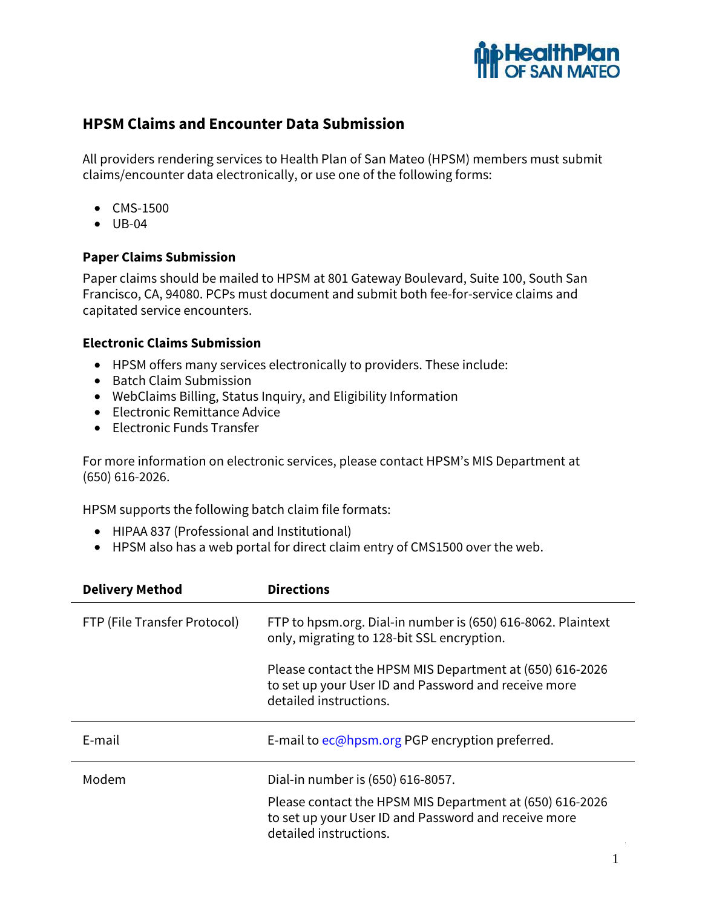

# **HPSM Claims and Encounter Data Submission**

All providers rendering services to Health Plan of San Mateo (HPSM) members must submit claims/encounter data electronically, or use one of the following forms:

- CMS-1500
- UB-04

### **Paper Claims Submission**

Paper claims should be mailed to HPSM at 801 Gateway Boulevard, Suite 100, South San Francisco, CA, 94080. PCPs must document and submit both fee-for-service claims and capitated service encounters.

#### **Electronic Claims Submission**

- HPSM offers many services electronically to providers. These include:
- Batch Claim Submission
- WebClaims Billing, Status Inquiry, and Eligibility Information
- Electronic Remittance Advice
- Electronic Funds Transfer

For more information on electronic services, please contact HPSM's MIS Department at (650) 616-2026.

HPSM supports the following batch claim file formats:

- HIPAA 837 (Professional and Institutional)
- HPSM also has a web portal for direct claim entry of CMS1500 over the web.

| <b>Delivery Method</b>       | <b>Directions</b>                                                                                                                          |
|------------------------------|--------------------------------------------------------------------------------------------------------------------------------------------|
| FTP (File Transfer Protocol) | FTP to hpsm.org. Dial-in number is (650) 616-8062. Plaintext<br>only, migrating to 128-bit SSL encryption.                                 |
|                              | Please contact the HPSM MIS Department at (650) 616-2026<br>to set up your User ID and Password and receive more<br>detailed instructions. |
| E-mail                       | E-mail to ec@hpsm.org PGP encryption preferred.                                                                                            |
| Modem                        | Dial-in number is (650) 616-8057.                                                                                                          |
|                              | Please contact the HPSM MIS Department at (650) 616-2026<br>to set up your User ID and Password and receive more<br>detailed instructions. |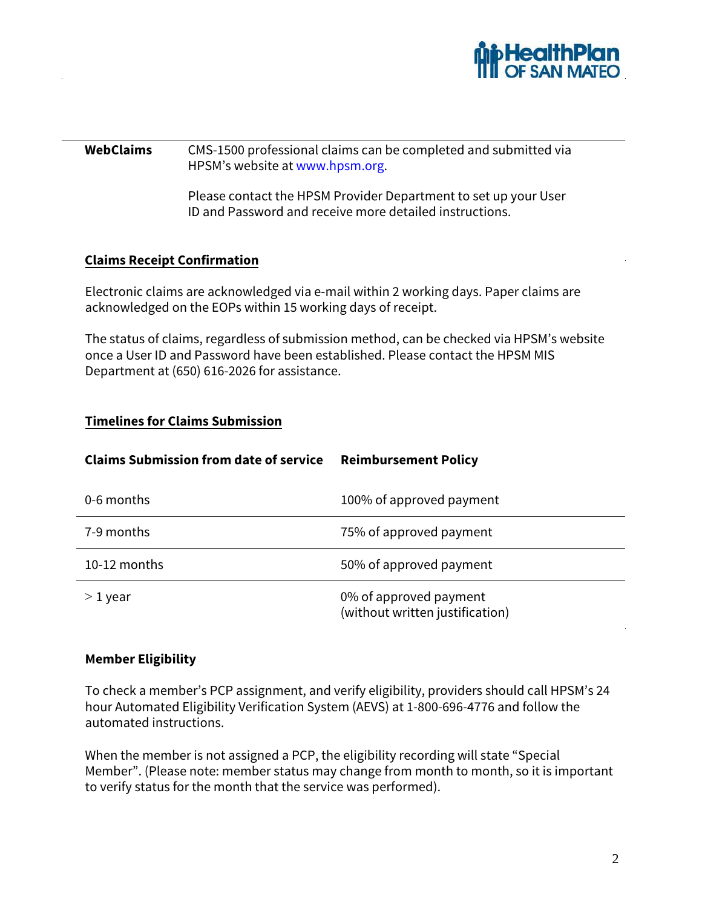

### **WebClaims** CMS-1500 professional claims can be completed and submitted via HPSM's website at www.hpsm.org.

Please contact the HPSM Provider Department to set up your User ID and Password and receive more detailed instructions.

## **Claims Receipt Confirmation**

Electronic claims are acknowledged via e-mail within 2 working days. Paper claims are acknowledged on the EOPs within 15 working days of receipt.

The status of claims, regardless of submission method, can be checked via HPSM's website once a User ID and Password have been established. Please contact the HPSM MIS Department at (650) 616-2026 for assistance.

## **Timelines for Claims Submission**

| <b>Claims Submission from date of service</b> | <b>Reimbursement Policy</b>                               |
|-----------------------------------------------|-----------------------------------------------------------|
| 0-6 months                                    | 100% of approved payment                                  |
| 7-9 months                                    | 75% of approved payment                                   |
| 10-12 months                                  | 50% of approved payment                                   |
| $>1$ year                                     | 0% of approved payment<br>(without written justification) |

## **Member Eligibility**

To check a member's PCP assignment, and verify eligibility, providers should call HPSM's 24 hour Automated Eligibility Verification System (AEVS) at 1-800-696-4776 and follow the automated instructions.

When the member is not assigned a PCP, the eligibility recording will state "Special Member". (Please note: member status may change from month to month, so it is important to verify status for the month that the service was performed).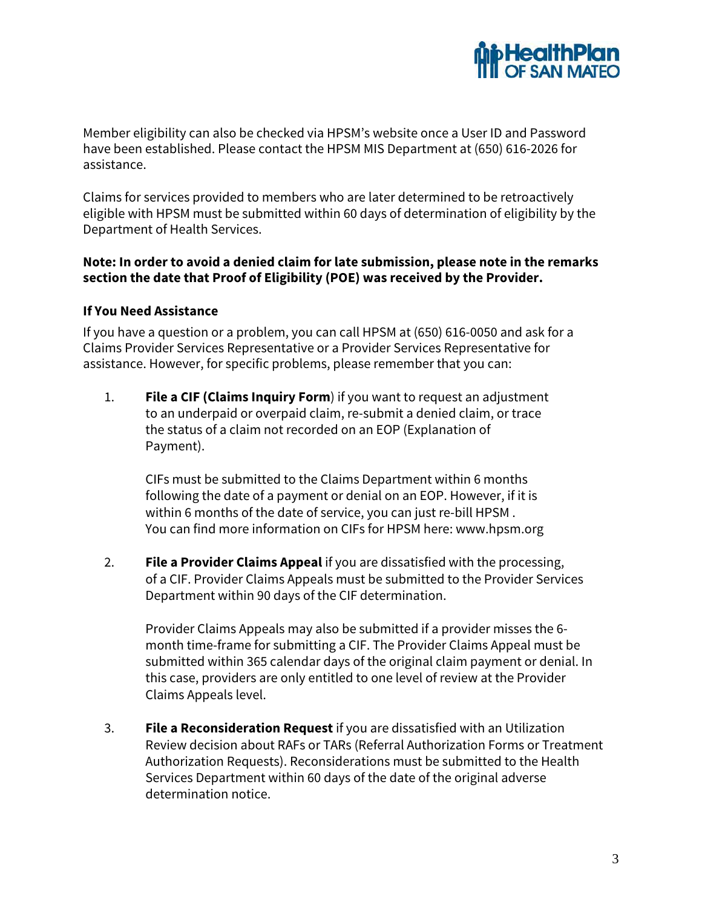

Member eligibility can also be checked via HPSM's website once a User ID and Password have been established. Please contact the HPSM MIS Department at (650) 616-2026 for assistance.

Claims for services provided to members who are later determined to be retroactively eligible with HPSM must be submitted within 60 days of determination of eligibility by the Department of Health Services.

## **Note: In order to avoid a denied claim for late submission, please note in the remarks section the date that Proof of Eligibility (POE) was received by the Provider.**

### **If You Need Assistance**

If you have a question or a problem, you can call HPSM at (650) 616-0050 and ask for a Claims Provider Services Representative or a Provider Services Representative for assistance. However, for specific problems, please remember that you can:

1. **File a CIF (Claims Inquiry Form**) if you want to request an adjustment to an underpaid or overpaid claim, re-submit a denied claim, or trace the status of a claim not recorded on an EOP (Explanation of Payment).

CIFs must be submitted to the Claims Department within 6 months following the date of a payment or denial on an EOP. However, if it is within 6 months of the date of service, you can just re-bill HPSM . You can find more information on CIFs for HPSM here: www.hpsm.org

2. **File a Provider Claims Appeal** if you are dissatisfied with the processing, of a CIF. Provider Claims Appeals must be submitted to the Provider Services Department within 90 days of the CIF determination.

Provider Claims Appeals may also be submitted if a provider misses the 6 month time-frame for submitting a CIF. The Provider Claims Appeal must be submitted within 365 calendar days of the original claim payment or denial. In this case, providers are only entitled to one level of review at the Provider Claims Appeals level.

3. **File a Reconsideration Request** if you are dissatisfied with an Utilization Review decision about RAFs or TARs (Referral Authorization Forms or Treatment Authorization Requests). Reconsiderations must be submitted to the Health Services Department within 60 days of the date of the original adverse determination notice.